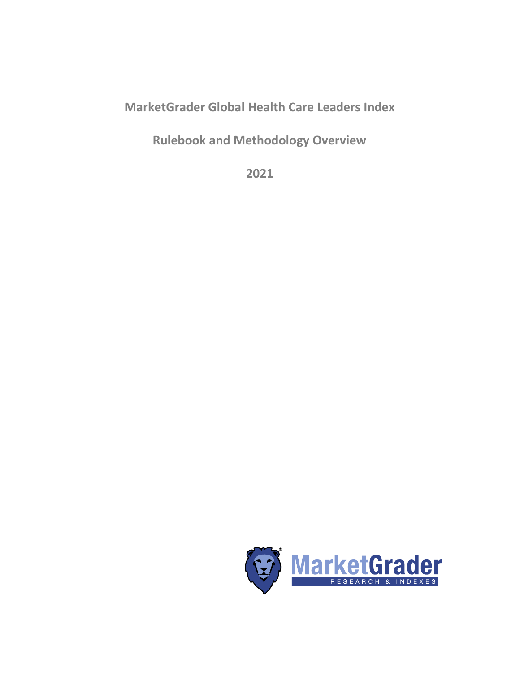# **MarketGrader Global Health Care Leaders Index**

**Rulebook and Methodology Overview**

**2021**

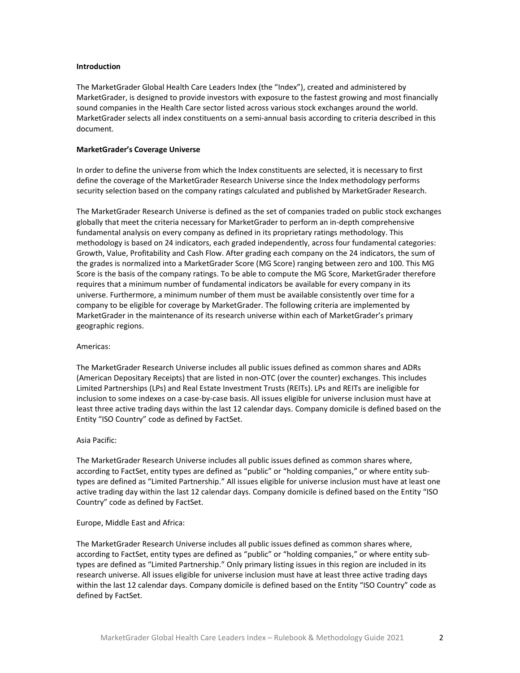## **Introduction**

The MarketGrader Global Health Care Leaders Index (the "Index"), created and administered by MarketGrader, is designed to provide investors with exposure to the fastest growing and most financially sound companies in the Health Care sector listed across various stock exchanges around the world. MarketGrader selects all index constituents on a semi-annual basis according to criteria described in this document.

## **MarketGrader's Coverage Universe**

In order to define the universe from which the Index constituents are selected, it is necessary to first define the coverage of the MarketGrader Research Universe since the Index methodology performs security selection based on the company ratings calculated and published by MarketGrader Research.

The MarketGrader Research Universe is defined as the set of companies traded on public stock exchanges globally that meet the criteria necessary for MarketGrader to perform an in-depth comprehensive fundamental analysis on every company as defined in its proprietary ratings methodology. This methodology is based on 24 indicators, each graded independently, across four fundamental categories: Growth, Value, Profitability and Cash Flow. After grading each company on the 24 indicators, the sum of the grades is normalized into a MarketGrader Score (MG Score) ranging between zero and 100. This MG Score is the basis of the company ratings. To be able to compute the MG Score, MarketGrader therefore requires that a minimum number of fundamental indicators be available for every company in its universe. Furthermore, a minimum number of them must be available consistently over time for a company to be eligible for coverage by MarketGrader. The following criteria are implemented by MarketGrader in the maintenance of its research universe within each of MarketGrader's primary geographic regions.

#### Americas:

The MarketGrader Research Universe includes all public issues defined as common shares and ADRs (American Depositary Receipts) that are listed in non-OTC (over the counter) exchanges. This includes Limited Partnerships (LPs) and Real Estate Investment Trusts (REITs). LPs and REITs are ineligible for inclusion to some indexes on a case-by-case basis. All issues eligible for universe inclusion must have at least three active trading days within the last 12 calendar days. Company domicile is defined based on the Entity "ISO Country" code as defined by FactSet.

## Asia Pacific:

The MarketGrader Research Universe includes all public issues defined as common shares where, according to FactSet, entity types are defined as "public" or "holding companies," or where entity subtypes are defined as "Limited Partnership." All issues eligible for universe inclusion must have at least one active trading day within the last 12 calendar days. Company domicile is defined based on the Entity "ISO Country" code as defined by FactSet.

#### Europe, Middle East and Africa:

The MarketGrader Research Universe includes all public issues defined as common shares where, according to FactSet, entity types are defined as "public" or "holding companies," or where entity subtypes are defined as "Limited Partnership." Only primary listing issues in this region are included in its research universe. All issues eligible for universe inclusion must have at least three active trading days within the last 12 calendar days. Company domicile is defined based on the Entity "ISO Country" code as defined by FactSet.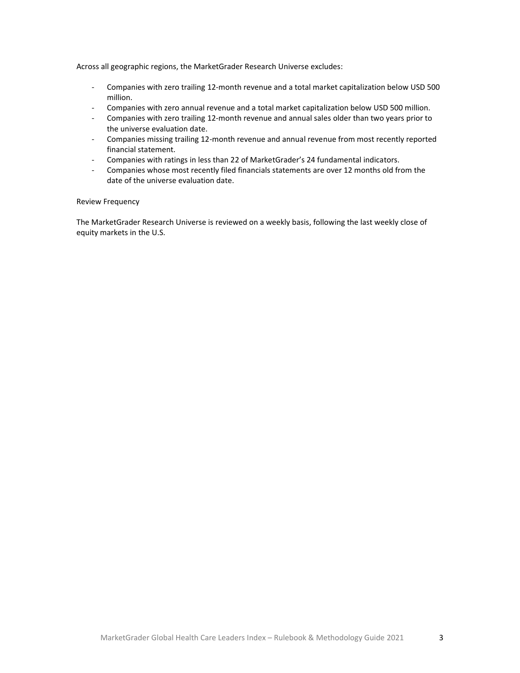Across all geographic regions, the MarketGrader Research Universe excludes:

- Companies with zero trailing 12-month revenue and a total market capitalization below USD 500 million.
- Companies with zero annual revenue and a total market capitalization below USD 500 million.
- Companies with zero trailing 12-month revenue and annual sales older than two years prior to the universe evaluation date.
- Companies missing trailing 12-month revenue and annual revenue from most recently reported financial statement.
- Companies with ratings in less than 22 of MarketGrader's 24 fundamental indicators.
- Companies whose most recently filed financials statements are over 12 months old from the date of the universe evaluation date.

# Review Frequency

The MarketGrader Research Universe is reviewed on a weekly basis, following the last weekly close of equity markets in the U.S.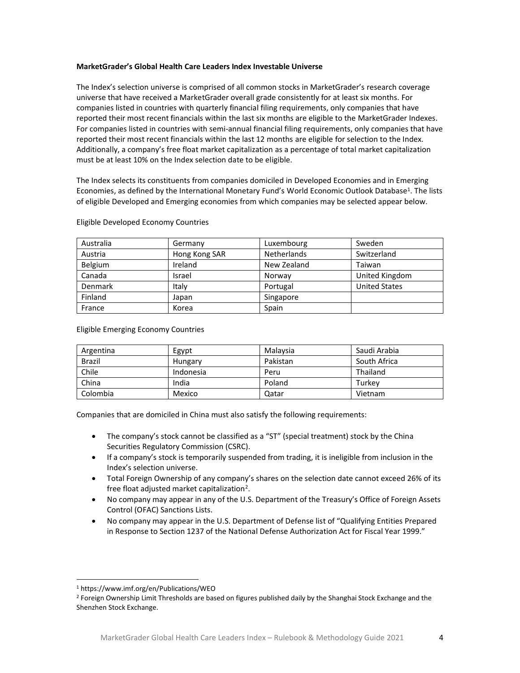# **MarketGrader's Global Health Care Leaders Index Investable Universe**

The Index's selection universe is comprised of all common stocks in MarketGrader's research coverage universe that have received a MarketGrader overall grade consistently for at least six months. For companies listed in countries with quarterly financial filing requirements, only companies that have reported their most recent financials within the last six months are eligible to the MarketGrader Indexes. For companies listed in countries with semi-annual financial filing requirements, only companies that have reported their most recent financials within the last 12 months are eligible for selection to the Index. Additionally, a company's free float market capitalization as a percentage of total market capitalization must be at least 10% on the Index selection date to be eligible.

The Index selects its constituents from companies domiciled in Developed Economies and in Emerging Economies, as defined by the International Monetary Fund's World Economic Outlook Database<sup>1</sup>. The lists of eligible Developed and Emerging economies from which companies may be selected appear below.

| Australia | Germany       | Luxembourg         | Sweden               |
|-----------|---------------|--------------------|----------------------|
| Austria   | Hong Kong SAR | <b>Netherlands</b> | Switzerland          |
| Belgium   | Ireland       | New Zealand        | Taiwan               |
| Canada    | Israel        | Norway             | United Kingdom       |
| Denmark   | Italy         | Portugal           | <b>United States</b> |
| Finland   | Japan         | Singapore          |                      |
| France    | Korea         | Spain              |                      |

Eligible Developed Economy Countries

Eligible Emerging Economy Countries

| Argentina     | Egypt     | Malaysia | Saudi Arabia |
|---------------|-----------|----------|--------------|
| <b>Brazil</b> | Hungary   | Pakistan | South Africa |
| Chile         | Indonesia | Peru     | Thailand     |
| China         | India     | Poland   | Turkev       |
| Colombia      | Mexico    | Qatar    | Vietnam      |

Companies that are domiciled in China must also satisfy the following requirements:

- The company's stock cannot be classified as a "ST" (special treatment) stock by the China Securities Regulatory Commission (CSRC).
- If a company's stock is temporarily suspended from trading, it is ineligible from inclusion in the Index's selection universe.
- Total Foreign Ownership of any company's shares on the selection date cannot exceed 26% of its free float adjusted market capitalization<sup>2</sup>.
- No company may appear in any of the U.S. Department of the Treasury's Office of Foreign Assets Control (OFAC) Sanctions Lists.
- No company may appear in the U.S. Department of Defense list of "Qualifying Entities Prepared in Response to Section 1237 of the National Defense Authorization Act for Fiscal Year 1999."

<sup>1</sup> https://www.imf.org/en/Publications/WEO

<sup>&</sup>lt;sup>2</sup> Foreign Ownership Limit Thresholds are based on figures published daily by the Shanghai Stock Exchange and the Shenzhen Stock Exchange.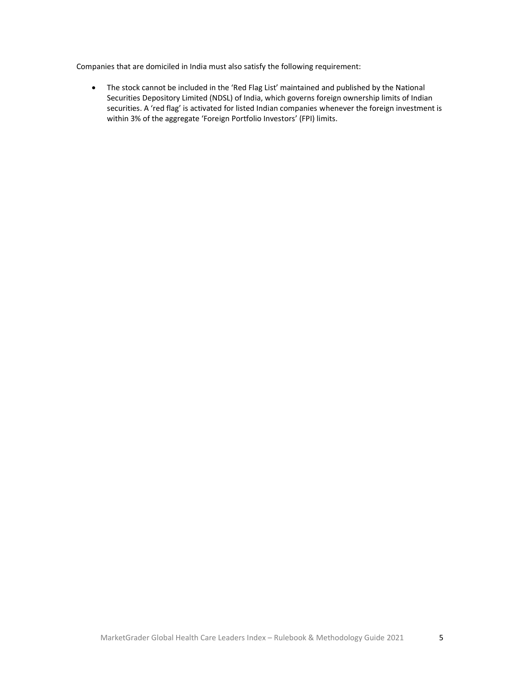Companies that are domiciled in India must also satisfy the following requirement:

• The stock cannot be included in the 'Red Flag List' maintained and published by the National Securities Depository Limited (NDSL) of India, which governs foreign ownership limits of Indian securities. A 'red flag' is activated for listed Indian companies whenever the foreign investment is within 3% of the aggregate 'Foreign Portfolio Investors' (FPI) limits.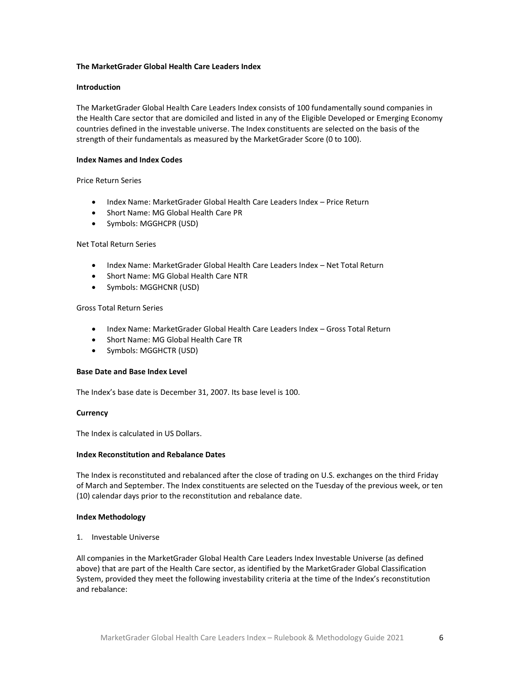# **The MarketGrader Global Health Care Leaders Index**

# **Introduction**

The MarketGrader Global Health Care Leaders Index consists of 100 fundamentally sound companies in the Health Care sector that are domiciled and listed in any of the Eligible Developed or Emerging Economy countries defined in the investable universe. The Index constituents are selected on the basis of the strength of their fundamentals as measured by the MarketGrader Score (0 to 100).

# **Index Names and Index Codes**

# Price Return Series

- Index Name: MarketGrader Global Health Care Leaders Index Price Return
- Short Name: MG Global Health Care PR
- Symbols: MGGHCPR (USD)

# Net Total Return Series

- Index Name: MarketGrader Global Health Care Leaders Index Net Total Return
- Short Name: MG Global Health Care NTR
- Symbols: MGGHCNR (USD)

# Gross Total Return Series

- Index Name: MarketGrader Global Health Care Leaders Index Gross Total Return
- Short Name: MG Global Health Care TR
- Symbols: MGGHCTR (USD)

# **Base Date and Base Index Level**

The Index's base date is December 31, 2007. Its base level is 100.

# **Currency**

The Index is calculated in US Dollars.

# **Index Reconstitution and Rebalance Dates**

The Index is reconstituted and rebalanced after the close of trading on U.S. exchanges on the third Friday of March and September. The Index constituents are selected on the Tuesday of the previous week, or ten (10) calendar days prior to the reconstitution and rebalance date.

# **Index Methodology**

1. Investable Universe

All companies in the MarketGrader Global Health Care Leaders Index Investable Universe (as defined above) that are part of the Health Care sector, as identified by the MarketGrader Global Classification System, provided they meet the following investability criteria at the time of the Index's reconstitution and rebalance: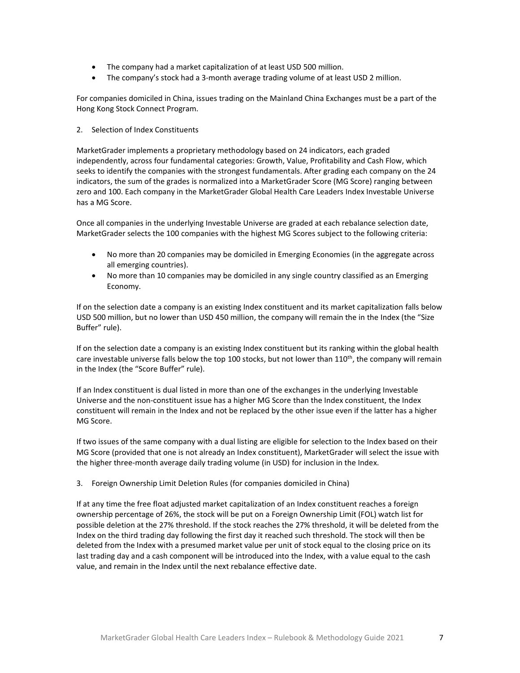- The company had a market capitalization of at least USD 500 million.
- The company's stock had a 3-month average trading volume of at least USD 2 million.

For companies domiciled in China, issues trading on the Mainland China Exchanges must be a part of the Hong Kong Stock Connect Program.

# 2. Selection of Index Constituents

MarketGrader implements a proprietary methodology based on 24 indicators, each graded independently, across four fundamental categories: Growth, Value, Profitability and Cash Flow, which seeks to identify the companies with the strongest fundamentals. After grading each company on the 24 indicators, the sum of the grades is normalized into a MarketGrader Score (MG Score) ranging between zero and 100. Each company in the MarketGrader Global Health Care Leaders Index Investable Universe has a MG Score.

Once all companies in the underlying Investable Universe are graded at each rebalance selection date, MarketGrader selects the 100 companies with the highest MG Scores subject to the following criteria:

- No more than 20 companies may be domiciled in Emerging Economies (in the aggregate across all emerging countries).
- No more than 10 companies may be domiciled in any single country classified as an Emerging Economy.

If on the selection date a company is an existing Index constituent and its market capitalization falls below USD 500 million, but no lower than USD 450 million, the company will remain the in the Index (the "Size Buffer" rule).

If on the selection date a company is an existing Index constituent but its ranking within the global health care investable universe falls below the top 100 stocks, but not lower than  $110<sup>th</sup>$ , the company will remain in the Index (the "Score Buffer" rule).

If an Index constituent is dual listed in more than one of the exchanges in the underlying Investable Universe and the non-constituent issue has a higher MG Score than the Index constituent, the Index constituent will remain in the Index and not be replaced by the other issue even if the latter has a higher MG Score.

If two issues of the same company with a dual listing are eligible for selection to the Index based on their MG Score (provided that one is not already an Index constituent), MarketGrader will select the issue with the higher three-month average daily trading volume (in USD) for inclusion in the Index.

3. Foreign Ownership Limit Deletion Rules (for companies domiciled in China)

If at any time the free float adjusted market capitalization of an Index constituent reaches a foreign ownership percentage of 26%, the stock will be put on a Foreign Ownership Limit (FOL) watch list for possible deletion at the 27% threshold. If the stock reaches the 27% threshold, it will be deleted from the Index on the third trading day following the first day it reached such threshold. The stock will then be deleted from the Index with a presumed market value per unit of stock equal to the closing price on its last trading day and a cash component will be introduced into the Index, with a value equal to the cash value, and remain in the Index until the next rebalance effective date.